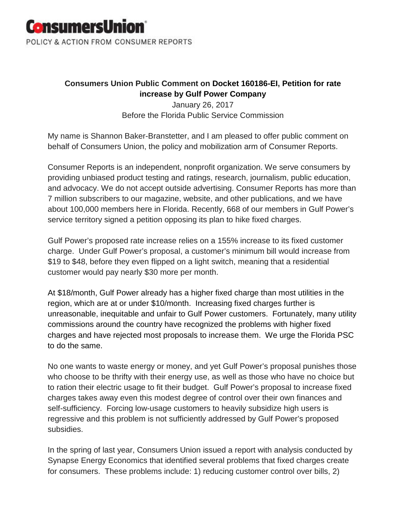

## **Consumers Union Public Comment on Docket 160186-EI, Petition for rate increase by Gulf Power Company**

January 26, 2017 Before the Florida Public Service Commission

My name is Shannon Baker-Branstetter, and I am pleased to offer public comment on behalf of Consumers Union, the policy and mobilization arm of Consumer Reports.

Consumer Reports is an independent, nonprofit organization. We serve consumers by providing unbiased product testing and ratings, research, journalism, public education, and advocacy. We do not accept outside advertising. Consumer Reports has more than 7 million subscribers to our magazine, website, and other publications, and we have about 100,000 members here in Florida. Recently, 668 of our members in Gulf Power's service territory signed a petition opposing its plan to hike fixed charges.

Gulf Power's proposed rate increase relies on a 155% increase to its fixed customer charge. Under Gulf Power's proposal, a customer's minimum bill would increase from \$19 to \$48, before they even flipped on a light switch, meaning that a residential customer would pay nearly \$30 more per month.

At \$18/month, Gulf Power already has a higher fixed charge than most utilities in the region, which are at or under \$10/month. Increasing fixed charges further is unreasonable, inequitable and unfair to Gulf Power customers. Fortunately, many utility commissions around the country have recognized the problems with higher fixed charges and have rejected most proposals to increase them. We urge the Florida PSC to do the same.

No one wants to waste energy or money, and yet Gulf Power's proposal punishes those who choose to be thrifty with their energy use, as well as those who have no choice but to ration their electric usage to fit their budget. Gulf Power's proposal to increase fixed charges takes away even this modest degree of control over their own finances and self-sufficiency. Forcing low-usage customers to heavily subsidize high users is regressive and this problem is not sufficiently addressed by Gulf Power's proposed subsidies.

In the spring of last year, Consumers Union issued a report with analysis conducted by Synapse Energy Economics that identified several problems that fixed charges create for consumers. These problems include: 1) reducing customer control over bills, 2)